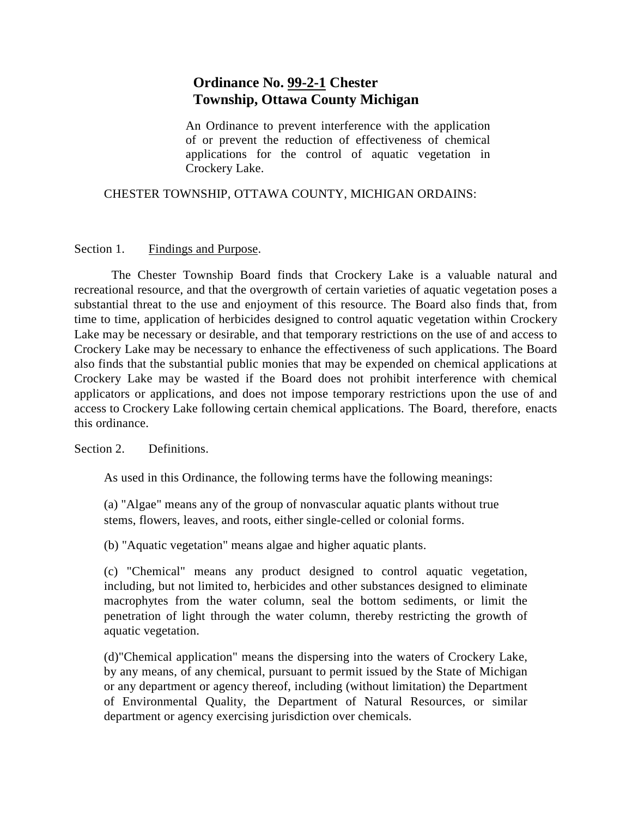## **Ordinance No. 99-2-1 Chester Township, Ottawa County Michigan**

An Ordinance to prevent interference with the application of or prevent the reduction of effectiveness of chemical applications for the control of aquatic vegetation in Crockery Lake.

## CHESTER TOWNSHIP, OTTAWA COUNTY, MICHIGAN ORDAINS:

## Section 1. Findings and Purpose.

The Chester Township Board finds that Crockery Lake is a valuable natural and recreational resource, and that the overgrowth of certain varieties of aquatic vegetation poses a substantial threat to the use and enjoyment of this resource. The Board also finds that, from time to time, application of herbicides designed to control aquatic vegetation within Crockery Lake may be necessary or desirable, and that temporary restrictions on the use of and access to Crockery Lake may be necessary to enhance the effectiveness of such applications. The Board also finds that the substantial public monies that may be expended on chemical applications at Crockery Lake may be wasted if the Board does not prohibit interference with chemical applicators or applications, and does not impose temporary restrictions upon the use of and access to Crockery Lake following certain chemical applications. The Board, therefore, enacts this ordinance.

Section 2. Definitions.

As used in this Ordinance, the following terms have the following meanings:

(a) "Algae" means any of the group of nonvascular aquatic plants without true stems, flowers, leaves, and roots, either single-celled or colonial forms.

(b) "Aquatic vegetation" means algae and higher aquatic plants.

(c) "Chemical" means any product designed to control aquatic vegetation, including, but not limited to, herbicides and other substances designed to eliminate macrophytes from the water column, seal the bottom sediments, or limit the penetration of light through the water column, thereby restricting the growth of aquatic vegetation.

(d)"Chemical application" means the dispersing into the waters of Crockery Lake, by any means, of any chemical, pursuant to permit issued by the State of Michigan or any department or agency thereof, including (without limitation) the Department of Environmental Quality, the Department of Natural Resources, or similar department or agency exercising jurisdiction over chemicals.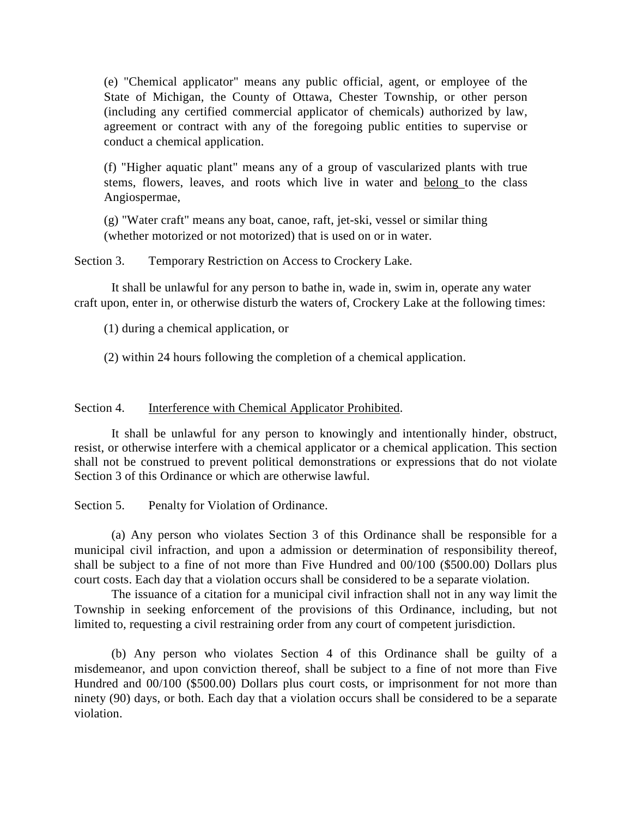(e) "Chemical applicator" means any public official, agent, or employee of the State of Michigan, the County of Ottawa, Chester Township, or other person (including any certified commercial applicator of chemicals) authorized by law, agreement or contract with any of the foregoing public entities to supervise or conduct a chemical application.

(f) "Higher aquatic plant" means any of a group of vascularized plants with true stems, flowers, leaves, and roots which live in water and belong to the class Angiospermae,

(g) "Water craft" means any boat, canoe, raft, jet-ski, vessel or similar thing (whether motorized or not motorized) that is used on or in water.

Section 3. Temporary Restriction on Access to Crockery Lake.

It shall be unlawful for any person to bathe in, wade in, swim in, operate any water craft upon, enter in, or otherwise disturb the waters of, Crockery Lake at the following times:

(1) during a chemical application, or

(2) within 24 hours following the completion of a chemical application.

## Section 4. **Interference with Chemical Applicator Prohibited.**

It shall be unlawful for any person to knowingly and intentionally hinder, obstruct, resist, or otherwise interfere with a chemical applicator or a chemical application. This section shall not be construed to prevent political demonstrations or expressions that do not violate Section 3 of this Ordinance or which are otherwise lawful.

Section 5. Penalty for Violation of Ordinance.

(a) Any person who violates Section 3 of this Ordinance shall be responsible for a municipal civil infraction, and upon a admission or determination of responsibility thereof, shall be subject to a fine of not more than Five Hundred and 00/100 (\$500.00) Dollars plus court costs. Each day that a violation occurs shall be considered to be a separate violation.

The issuance of a citation for a municipal civil infraction shall not in any way limit the Township in seeking enforcement of the provisions of this Ordinance, including, but not limited to, requesting a civil restraining order from any court of competent jurisdiction.

(b) Any person who violates Section 4 of this Ordinance shall be guilty of a misdemeanor, and upon conviction thereof, shall be subject to a fine of not more than Five Hundred and 00/100 (\$500.00) Dollars plus court costs, or imprisonment for not more than ninety (90) days, or both. Each day that a violation occurs shall be considered to be a separate violation.